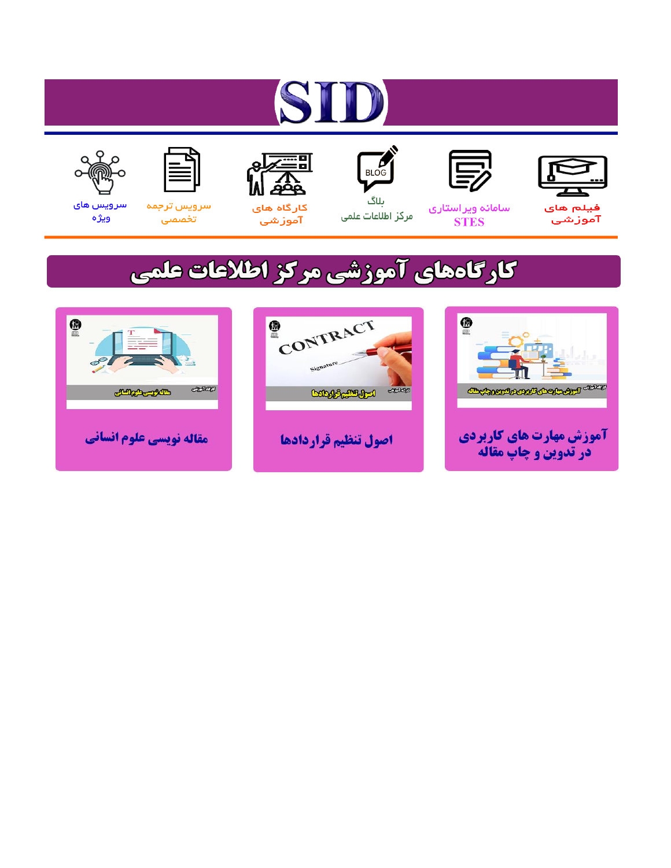# ST











ىلاگ



مرکز اطلاعات علمی

 $\frac{1}{\sqrt{\frac{1}{100}}}$ 

Cologie Legislation

کارگاه های آموزشي

空

ققق

 $\begin{matrix} \textcircled{\footnotesize{A}}\\ \textcircled{\footnotesize{B}} \end{matrix}$ 

سرويس ترجمه تخصصى



سرویس های ويژه

كارگاههای آموزشی مركز اطلاعات علمی

CONTRACT

اصول تنظيم قراردادها



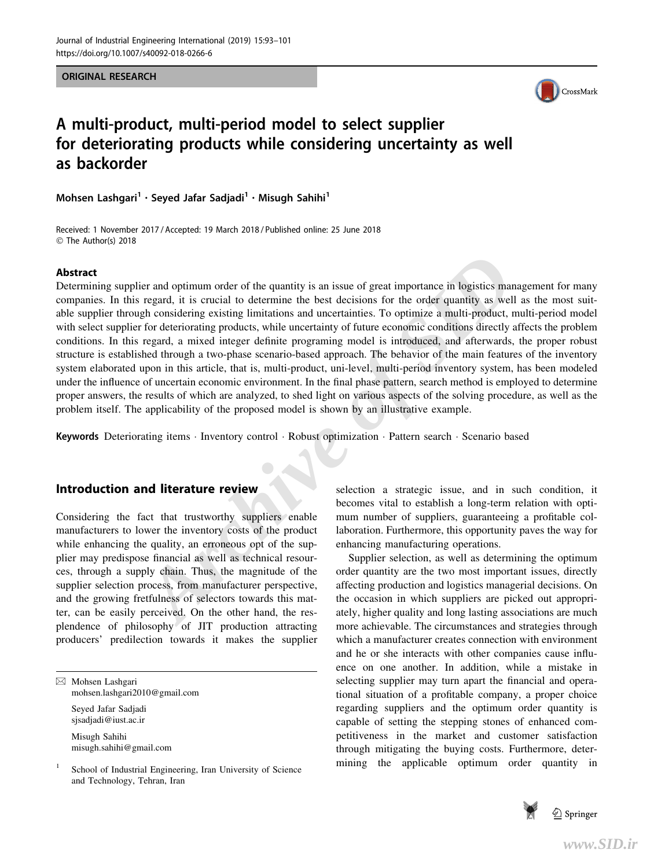ORIGINAL RESEARCH



# A multi-product, multi-period model to select supplier for deteriorating products while considering uncertainty as well as backorder

Mohsen Lashgari<sup>1</sup> · Seyed Jafar Sadjadi<sup>1</sup> · Misugh Sahihi<sup>1</sup>

Received: 1 November 2017 / Accepted: 19 March 2018 / Published online: 25 June 2018 © The Author(s) 2018

#### Abstract

**Example 1** is crucial to determinity is an issue of great importance in logistics manage regard, it is crucial to determine the bast decisions for the order quantity as well as the for determining products, while uncertai Determining supplier and optimum order of the quantity is an issue of great importance in logistics management for many companies. In this regard, it is crucial to determine the best decisions for the order quantity as well as the most suitable supplier through considering existing limitations and uncertainties. To optimize a multi-product, multi-period model with select supplier for deteriorating products, while uncertainty of future economic conditions directly affects the problem conditions. In this regard, a mixed integer definite programing model is introduced, and afterwards, the proper robust structure is established through a two-phase scenario-based approach. The behavior of the main features of the inventory system elaborated upon in this article, that is, multi-product, uni-level, multi-period inventory system, has been modeled under the influence of uncertain economic environment. In the final phase pattern, search method is employed to determine proper answers, the results of which are analyzed, to shed light on various aspects of the solving procedure, as well as the problem itself. The applicability of the proposed model is shown by an illustrative example.

Keywords Deteriorating items · Inventory control · Robust optimization · Pattern search · Scenario based

## Introduction and literature review

Considering the fact that trustworthy suppliers enable manufacturers to lower the inventory costs of the product while enhancing the quality, an erroneous opt of the supplier may predispose financial as well as technical resources, through a supply chain. Thus, the magnitude of the supplier selection process, from manufacturer perspective, and the growing fretfulness of selectors towards this matter, can be easily perceived. On the other hand, the resplendence of philosophy of JIT production attracting producers' predilection towards it makes the supplier

& Mohsen Lashgari mohsen.lashgari2010@gmail.com Seyed Jafar Sadjadi sjsadjadi@iust.ac.ir

> Misugh Sahihi misugh.sahihi@gmail.com

School of Industrial Engineering, Iran University of Science and Technology, Tehran, Iran

selection a strategic issue, and in such condition, it becomes vital to establish a long-term relation with optimum number of suppliers, guaranteeing a profitable collaboration. Furthermore, this opportunity paves the way for enhancing manufacturing operations.

Supplier selection, as well as determining the optimum order quantity are the two most important issues, directly affecting production and logistics managerial decisions. On the occasion in which suppliers are picked out appropriately, higher quality and long lasting associations are much more achievable. The circumstances and strategies through which a manufacturer creates connection with environment and he or she interacts with other companies cause influence on one another. In addition, while a mistake in selecting supplier may turn apart the financial and operational situation of a profitable company, a proper choice regarding suppliers and the optimum order quantity is capable of setting the stepping stones of enhanced competitiveness in the market and customer satisfaction through mitigating the buying costs. Furthermore, determining the applicable optimum order quantity in

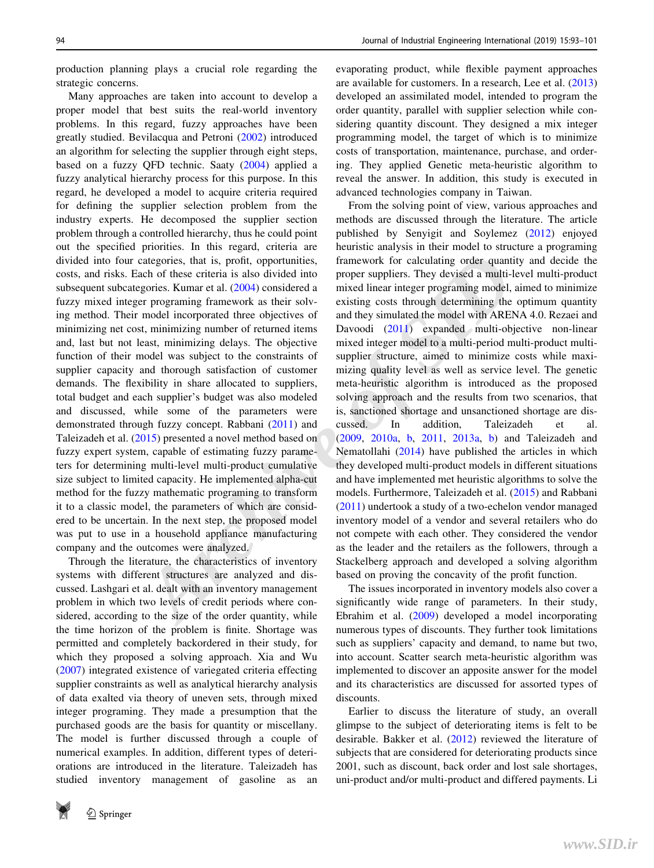production planning plays a crucial role regarding the strategic concerns.

Many approaches are taken into account to develop a proper model that best suits the real-world inventory problems. In this regard, fuzzy approaches have been greatly studied. Bevilacqua and Petroni (2002) introduced an algorithm for selecting the supplier through eight steps, based on a fuzzy QFD technic. Saaty (2004) applied a fuzzy analytical hierarchy process for this purpose. In this regard, he developed a model to acquire criteria required for defining the supplier selection problem from the industry experts. He decomposed the supplier section problem through a controlled hierarchy, thus he could point out the specified priorities. In this regard, criteria are divided into four categories, that is, profit, opportunities, costs, and risks. Each of these criteria is also divided into subsequent subcategories. Kumar et al. (2004) considered a fuzzy mixed integer programing framework as their solving method. Their model incorporated three objectives of minimizing net cost, minimizing number of returned items and, last but not least, minimizing delays. The objective function of their model was subject to the constraints of supplier capacity and thorough satisfaction of customer demands. The flexibility in share allocated to suppliers, total budget and each supplier's budget was also modeled and discussed, while some of the parameters were demonstrated through fuzzy concept. Rabbani (2011) and Taleizadeh et al. (2015) presented a novel method based on fuzzy expert system, capable of estimating fuzzy parameters for determining multi-level multi-product cumulative size subject to limited capacity. He implemented alpha-cut method for the fuzzy mathematic programing to transform it to a classic model, the parameters of which are considered to be uncertain. In the next step, the proposed model was put to use in a household appliance manufacturing company and the outcomes were analyzed.

Through the literature, the characteristics of inventory systems with different structures are analyzed and discussed. Lashgari et al. dealt with an inventory management problem in which two levels of credit periods where considered, according to the size of the order quantity, while the time horizon of the problem is finite. Shortage was permitted and completely backordered in their study, for which they proposed a solving approach. Xia and Wu (2007) integrated existence of variegated criteria effecting supplier constraints as well as analytical hierarchy analysis of data exalted via theory of uneven sets, through mixed integer programing. They made a presumption that the purchased goods are the basis for quantity or miscellany. The model is further discussed through a couple of numerical examples. In addition, different types of deteriorations are introduced in the literature. Taleizadeh has studied inventory management of gasoline as an



evaporating product, while flexible payment approaches are available for customers. In a research, Lee et al. (2013) developed an assimilated model, intended to program the order quantity, parallel with supplier selection while considering quantity discount. They designed a mix integer programming model, the target of which is to minimize costs of transportation, maintenance, purchase, and ordering. They applied Genetic meta-heuristic algorithm to reveal the answer. In addition, this study is executed in advanced technologies company in Taiwan.

categories, that is, profit, opportunities,<br>categories, that is, profit, opportunities,<br>framework for calculating order quantity ex-<br>equives. They deviated and the level of these critical is also divided into<br>progress. Ku From the solving point of view, various approaches and methods are discussed through the literature. The article published by Senyigit and Soylemez (2012) enjoyed heuristic analysis in their model to structure a programing framework for calculating order quantity and decide the proper suppliers. They devised a multi-level multi-product mixed linear integer programing model, aimed to minimize existing costs through determining the optimum quantity and they simulated the model with ARENA 4.0. Rezaei and Davoodi (2011) expanded multi-objective non-linear mixed integer model to a multi-period multi-product multisupplier structure, aimed to minimize costs while maximizing quality level as well as service level. The genetic meta-heuristic algorithm is introduced as the proposed solving approach and the results from two scenarios, that is, sanctioned shortage and unsanctioned shortage are discussed. In addition, Taleizadeh et al. (2009, 2010a, b, 2011, 2013a, b) and Taleizadeh and Nematollahi (2014) have published the articles in which they developed multi-product models in different situations and have implemented met heuristic algorithms to solve the models. Furthermore, Taleizadeh et al. (2015) and Rabbani (2011) undertook a study of a two-echelon vendor managed inventory model of a vendor and several retailers who do not compete with each other. They considered the vendor as the leader and the retailers as the followers, through a Stackelberg approach and developed a solving algorithm based on proving the concavity of the profit function.

The issues incorporated in inventory models also cover a significantly wide range of parameters. In their study, Ebrahim et al. (2009) developed a model incorporating numerous types of discounts. They further took limitations such as suppliers' capacity and demand, to name but two, into account. Scatter search meta-heuristic algorithm was implemented to discover an apposite answer for the model and its characteristics are discussed for assorted types of discounts.

Earlier to discuss the literature of study, an overall glimpse to the subject of deteriorating items is felt to be desirable. Bakker et al. (2012) reviewed the literature of subjects that are considered for deteriorating products since 2001, such as discount, back order and lost sale shortages, uni-product and/or multi-product and differed payments. Li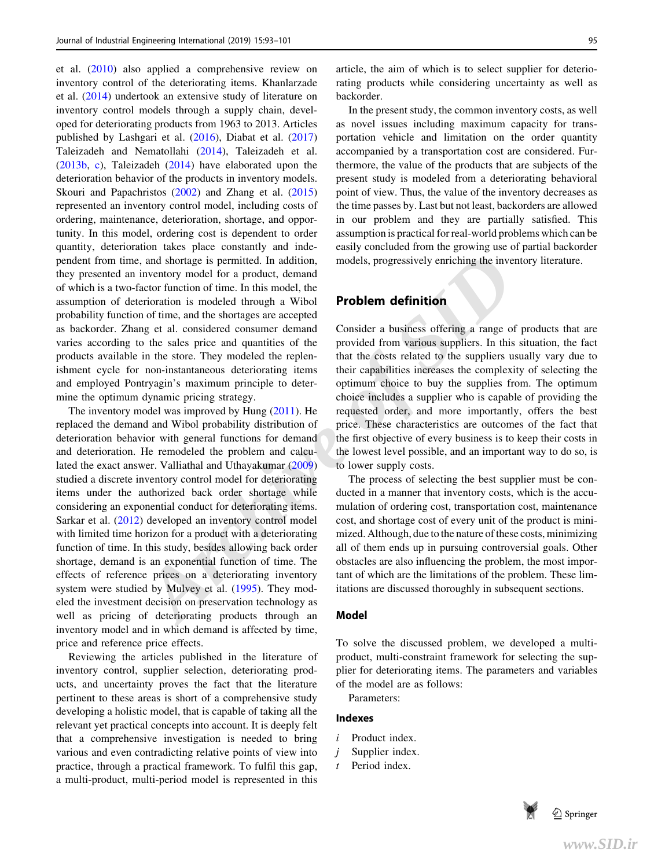et al. (2010) also applied a comprehensive review on inventory control of the deteriorating items. Khanlarzade et al. (2014) undertook an extensive study of literature on inventory control models through a supply chain, developed for deteriorating products from 1963 to 2013. Articles published by Lashgari et al. (2016), Diabat et al. (2017) Taleizadeh and Nematollahi (2014), Taleizadeh et al. (2013b, c), Taleizadeh (2014) have elaborated upon the deterioration behavior of the products in inventory models. Skouri and Papachristos (2002) and Zhang et al. (2015) represented an inventory control model, including costs of ordering, maintenance, deterioration, shortage, and opportunity. In this model, ordering cost is dependent to order quantity, deterioration takes place constantly and independent from time, and shortage is permitted. In addition, they presented an inventory model for a product, demand of which is a two-factor function of time. In this model, the assumption of deterioration is modeled through a Wibol probability function of time, and the shortages are accepted as backorder. Zhang et al. considered consumer demand varies according to the sales price and quantities of the products available in the store. They modeled the replenishment cycle for non-instantaneous deteriorating items and employed Pontryagin's maximum principle to determine the optimum dynamic pricing strategy.

*A*, and shortage is permitted. In addition, models, progressively enriching the inventor motory model for a product, demand<br>
inventory model for a product, demand carect demand in a model at considered through a Wibol eri The inventory model was improved by Hung (2011). He replaced the demand and Wibol probability distribution of deterioration behavior with general functions for demand and deterioration. He remodeled the problem and calculated the exact answer. Valliathal and Uthayakumar (2009) studied a discrete inventory control model for deteriorating items under the authorized back order shortage while considering an exponential conduct for deteriorating items. Sarkar et al. (2012) developed an inventory control model with limited time horizon for a product with a deteriorating function of time. In this study, besides allowing back order shortage, demand is an exponential function of time. The effects of reference prices on a deteriorating inventory system were studied by Mulvey et al. (1995). They modeled the investment decision on preservation technology as well as pricing of deteriorating products through an inventory model and in which demand is affected by time, price and reference price effects.

Reviewing the articles published in the literature of inventory control, supplier selection, deteriorating products, and uncertainty proves the fact that the literature pertinent to these areas is short of a comprehensive study developing a holistic model, that is capable of taking all the relevant yet practical concepts into account. It is deeply felt that a comprehensive investigation is needed to bring various and even contradicting relative points of view into practice, through a practical framework. To fulfil this gap, a multi-product, multi-period model is represented in this

article, the aim of which is to select supplier for deteriorating products while considering uncertainty as well as backorder.

In the present study, the common inventory costs, as well as novel issues including maximum capacity for transportation vehicle and limitation on the order quantity accompanied by a transportation cost are considered. Furthermore, the value of the products that are subjects of the present study is modeled from a deteriorating behavioral point of view. Thus, the value of the inventory decreases as the time passes by. Last but not least, backorders are allowed in our problem and they are partially satisfied. This assumption is practical for real-world problems which can be easily concluded from the growing use of partial backorder models, progressively enriching the inventory literature.

# Problem definition

Consider a business offering a range of products that are provided from various suppliers. In this situation, the fact that the costs related to the suppliers usually vary due to their capabilities increases the complexity of selecting the optimum choice to buy the supplies from. The optimum choice includes a supplier who is capable of providing the requested order, and more importantly, offers the best price. These characteristics are outcomes of the fact that the first objective of every business is to keep their costs in the lowest level possible, and an important way to do so, is to lower supply costs.

The process of selecting the best supplier must be conducted in a manner that inventory costs, which is the accumulation of ordering cost, transportation cost, maintenance cost, and shortage cost of every unit of the product is minimized. Although, due to the nature of these costs, minimizing all of them ends up in pursuing controversial goals. Other obstacles are also influencing the problem, the most important of which are the limitations of the problem. These limitations are discussed thoroughly in subsequent sections.

#### Model

To solve the discussed problem, we developed a multiproduct, multi-constraint framework for selecting the supplier for deteriorating items. The parameters and variables of the model are as follows:

Parameters:

### Indexes

- i Product index.
- $i$  Supplier index.
- t Period index.

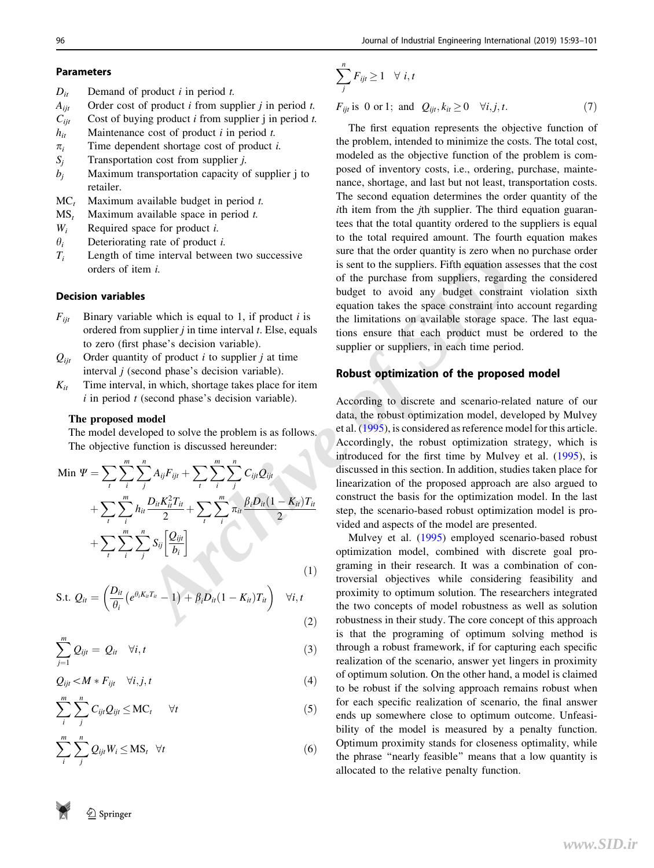# Parameters

- $D_{it}$  Demand of product *i* in period *t*.
- $A_{ii}$  Order cost of product *i* from supplier *j* in period *t*.
- $C_{iit}$  Cost of buying product *i* from supplier j in period *t*.
- $h_{it}$  Maintenance cost of product *i* in period *t*.
- $\pi_i$  Time dependent shortage cost of product *i*.
- $S_i$  Transportation cost from supplier *j*.
- $b_i$  Maximum transportation capacity of supplier j to retailer.
- $MC<sub>t</sub>$  Maximum available budget in period t.
- $MS<sub>t</sub>$  Maximum available space in period t.
- $W_i$  Required space for product *i*.
- $\theta_i$  Deteriorating rate of product *i*.
- $T_i$  Length of time interval between two successive orders of item i.

# Decision variables

- $F_{ii}$  Binary variable which is equal to 1, if product *i* is ordered from supplier  $j$  in time interval  $t$ . Else, equals to zero (first phase's decision variable).
- $Q_{ii}$  Order quantity of product *i* to supplier *j* at time interval  $j$  (second phase's decision variable).
- $K_{it}$  Time interval, in which, shortage takes place for item  $i$  in period  $t$  (second phase's decision variable).

#### The proposed model

The model developed to solve the problem is as follows. The objective function is discussed hereunder:

Min 
$$
\Psi = \sum_{i} \sum_{i}^{m} \sum_{j}^{n} A_{ij} F_{ijt} + \sum_{i} \sum_{i}^{m} \sum_{j}^{n} C_{ijt} Q_{ijt}
$$
  
+ 
$$
\sum_{i} \sum_{i}^{m} h_{it} \frac{D_{it} K_{it}^2 T_{it}}{2} + \sum_{i} \sum_{i}^{m} \pi_{it} \frac{\beta_{i} D_{it} (1 - K_{it}) T_{it}}{2}
$$

$$
+ \sum_{i} \sum_{i}^{m} \sum_{j}^{n} S_{ij} \left[ \frac{Q_{ijt}}{b_i} \right]
$$
(1)

S.t. 
$$
Q_{it} = \left(\frac{D_{it}}{\theta_i} \left(e^{\theta_i K_{it} T_{it}} - 1\right) + \beta_i D_{it} (1 - K_{it}) T_{it}\right) \quad \forall i, t
$$
 (2)

$$
\sum_{j=1}^{m} Q_{ijt} = Q_{it} \quad \forall i, t
$$
\n(3)

$$
Q_{ijt} < M * F_{ijt} \quad \forall i, j, t \tag{4}
$$

$$
\sum_{i}^{m} \sum_{j}^{n} C_{ijt} Q_{ijt} \leq \text{MC}_{t} \qquad \forall t \tag{5}
$$

$$
\sum_{i}^{m} \sum_{j}^{n} Q_{ijt} W_i \le MS_t \quad \forall t \tag{6}
$$

$$
\sum_{j}^{n} F_{ijt} \ge 1 \quad \forall \ i, t
$$
\n
$$
F_{\text{e}} \text{ is 0 or 1: and } O_{\text{e}} \quad k \ge 0 \quad \forall i \ i \ne t
$$

j

 $F_{ijt}$  is 0 or 1; and  $Q_{ijt}$ ,  $k_{it} \ge 0 \quad \forall i, j, t$ .  $(7)$ 

The first equation represents the objective function of the problem, intended to minimize the costs. The total cost, modeled as the objective function of the problem is composed of inventory costs, i.e., ordering, purchase, maintenance, shortage, and last but not least, transportation costs. The second equation determines the order quantity of the ith item from the jth supplier. The third equation guarantees that the total quantity ordered to the suppliers is equal to the total required amount. The fourth equation makes sure that the order quantity is zero when no purchase order is sent to the suppliers. Fifth equation assesses that the cost of the purchase from suppliers, regarding the considered budget to avoid any budget constraint violation sixth equation takes the space constraint into account regarding the limitations on available storage space. The last equations ensure that each product must be ordered to the supplier or suppliers, in each time period.

# Robust optimization of the proposed model

interval between two successive<br> **Archive of the purchase Constant Constant Constant Constant Constant Constant Constant Constant Constant Constant Constant Constant Constant Constant Constant Constant Constant Constant C** According to discrete and scenario-related nature of our data, the robust optimization model, developed by Mulvey et al. (1995), is considered as reference model for this article. Accordingly, the robust optimization strategy, which is introduced for the first time by Mulvey et al. (1995), is discussed in this section. In addition, studies taken place for linearization of the proposed approach are also argued to construct the basis for the optimization model. In the last step, the scenario-based robust optimization model is provided and aspects of the model are presented.

Mulvey et al. (1995) employed scenario-based robust optimization model, combined with discrete goal programing in their research. It was a combination of controversial objectives while considering feasibility and proximity to optimum solution. The researchers integrated the two concepts of model robustness as well as solution robustness in their study. The core concept of this approach is that the programing of optimum solving method is through a robust framework, if for capturing each specific realization of the scenario, answer yet lingers in proximity of optimum solution. On the other hand, a model is claimed to be robust if the solving approach remains robust when for each specific realization of scenario, the final answer ends up somewhere close to optimum outcome. Unfeasibility of the model is measured by a penalty function. Optimum proximity stands for closeness optimality, while the phrase ''nearly feasible'' means that a low quantity is allocated to the relative penalty function.

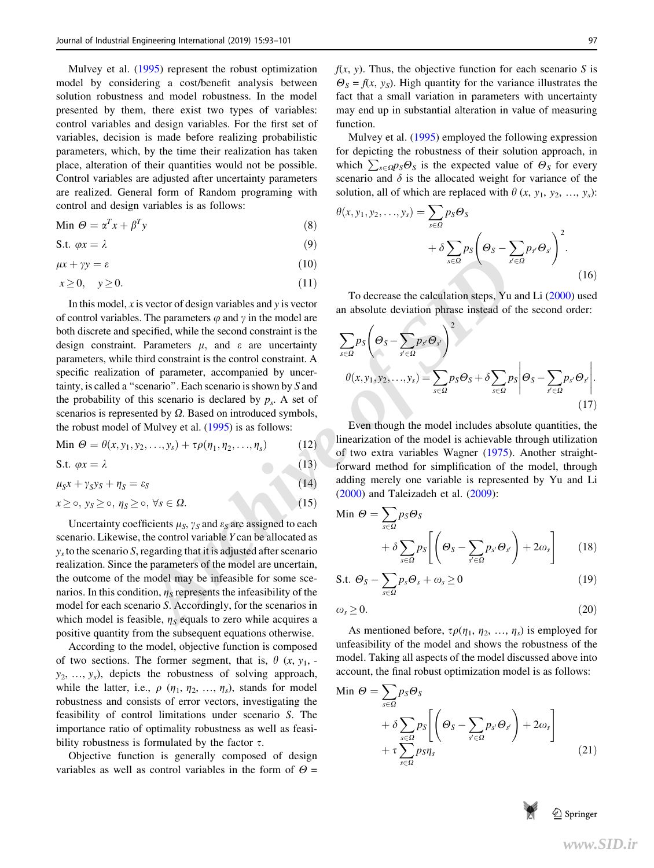Mulvey et al. (1995) represent the robust optimization model by considering a cost/benefit analysis between solution robustness and model robustness. In the model presented by them, there exist two types of variables: control variables and design variables. For the first set of variables, decision is made before realizing probabilistic parameters, which, by the time their realization has taken place, alteration of their quantities would not be possible. Control variables are adjusted after uncertainty parameters are realized. General form of Random programing with control and design variables is as follows:

$$
\text{Min } \Theta = \alpha^T x + \beta^T y \tag{8}
$$

$$
S.t. \varphi x = \lambda \tag{9}
$$

$$
\mu x + \gamma y = \varepsilon \tag{10}
$$

$$
x \ge 0, \quad y \ge 0. \tag{11}
$$

(10)<br> **Archive of SID** systector of design variables and y is vector<br> **Archive of SID** in the model are an absolute deviation phrase instead of the<br>
The parameters  $\mu$ , and  $\varepsilon$  are uncertainty<br>
Parameters  $\mu$ , and  $\vare$ In this model,  $x$  is vector of design variables and  $y$  is vector of control variables. The parameters  $\varphi$  and  $\gamma$  in the model are both discrete and specified, while the second constraint is the design constraint. Parameters  $\mu$ , and  $\varepsilon$  are uncertainty parameters, while third constraint is the control constraint. A specific realization of parameter, accompanied by uncertainty, is called a ''scenario''. Each scenario is shown by S and the probability of this scenario is declared by  $p_s$ . A set of scenarios is represented by  $\Omega$ . Based on introduced symbols, the robust model of Mulvey et al. (1995) is as follows:

$$
\text{Min } \Theta = \theta(x, y_1, y_2, \dots, y_s) + \tau \rho(\eta_1, \eta_2, \dots, \eta_s) \tag{12}
$$

$$
S.t. \varphi x = \lambda \tag{13}
$$

$$
\mu_S x + \gamma_S y_S + \eta_S = \varepsilon_S \tag{14}
$$

$$
x \geq \circ, \ y_S \geq \circ, \ \eta_S \geq \circ, \ \forall s \in \Omega.
$$
 (15)

Uncertainty coefficients  $\mu_S$ ,  $\gamma_S$  and  $\varepsilon_S$  are assigned to each scenario. Likewise, the control variable Y can be allocated as  $y<sub>s</sub>$  to the scenario S, regarding that it is adjusted after scenario realization. Since the parameters of the model are uncertain, the outcome of the model may be infeasible for some scenarios. In this condition,  $\eta_s$  represents the infeasibility of the model for each scenario S. Accordingly, for the scenarios in which model is feasible,  $\eta_s$  equals to zero while acquires a positive quantity from the subsequent equations otherwise.

According to the model, objective function is composed of two sections. The former segment, that is,  $\theta$  (x, y<sub>1</sub>,  $y_2, \ldots, y_s$ , depicts the robustness of solving approach, while the latter, i.e.,  $\rho$  ( $\eta_1$ ,  $\eta_2$ , ...,  $\eta_s$ ), stands for model robustness and consists of error vectors, investigating the feasibility of control limitations under scenario S. The importance ratio of optimality robustness as well as feasibility robustness is formulated by the factor  $\tau$ .

Objective function is generally composed of design variables as well as control variables in the form of  $\Theta =$ 

 $f(x, y)$ . Thus, the objective function for each scenario S is  $\Theta_s = f(x, y_s)$ . High quantity for the variance illustrates the fact that a small variation in parameters with uncertainty may end up in substantial alteration in value of measuring function.

Mulvey et al. (1995) employed the following expression for depicting the robustness of their solution approach, in which  $\sum_{s \in \Omega} p_S \Theta_s$  is the expected value of  $\Theta_s$  for every scenario and  $\delta$  is the allocated weight for variance of the solution, all of which are replaced with  $\theta$  (x, y<sub>1</sub>, y<sub>2</sub>, ..., y<sub>s</sub>):

$$
\theta(x, y_1, y_2, \dots, y_s) = \sum_{s \in \Omega} p_s \Theta_s
$$

$$
+ \delta \sum_{s \in \Omega} p_s \left( \Theta_s - \sum_{s' \in \Omega} p_{s'} \Theta_{s'} \right)^2.
$$
(16)

To decrease the calculation steps, Yu and Li (2000) used an absolute deviation phrase instead of the second order:

$$
\sum_{s \in \Omega} p_s \left( \Theta_s - \sum_{s' \in \Omega} p_{s'} \Theta_{s'} \right)^2
$$
  

$$
\theta(x, y_1, y_2, \dots, y_s) = \sum_{s \in \Omega} p_s \Theta_s + \delta \sum_{s \in \Omega} p_s \left| \Theta_s - \sum_{s' \in \Omega} p_{s'} \Theta_{s'} \right|.
$$
  
(17)

Even though the model includes absolute quantities, the linearization of the model is achievable through utilization of two extra variables Wagner (1975). Another straightforward method for simplification of the model, through adding merely one variable is represented by Yu and Li (2000) and Taleizadeh et al. (2009):

Min 
$$
\Theta = \sum_{s \in \Omega} p_S \Theta_s
$$
  
  $+ \delta \sum_{s \in \Omega} p_S \left[ \left( \Theta_s - \sum_{s' \in \Omega} p_{s'} \Theta_{s'} \right) + 2\omega_s \right]$  (18)

$$
\text{S.t. } \Theta_S - \sum_{s \in \Omega} p_s \Theta_s + \omega_s \ge 0 \tag{19}
$$

$$
\omega_s \ge 0. \tag{20}
$$

As mentioned before,  $\tau \rho(\eta_1, \eta_2, ..., \eta_s)$  is employed for unfeasibility of the model and shows the robustness of the model. Taking all aspects of the model discussed above into account, the final robust optimization model is as follows:

Min 
$$
\Theta = \sum_{s \in \Omega} p_S \Theta_s
$$
  
  $+ \delta \sum_{s \in \Omega} p_S \left[ \left( \Theta_s - \sum_{s' \in \Omega} p_{s'} \Theta_{s'} \right) + 2\omega_s \right]$   
  $+ \tau \sum_{s \in \Omega} p_S \eta_s$  (21)

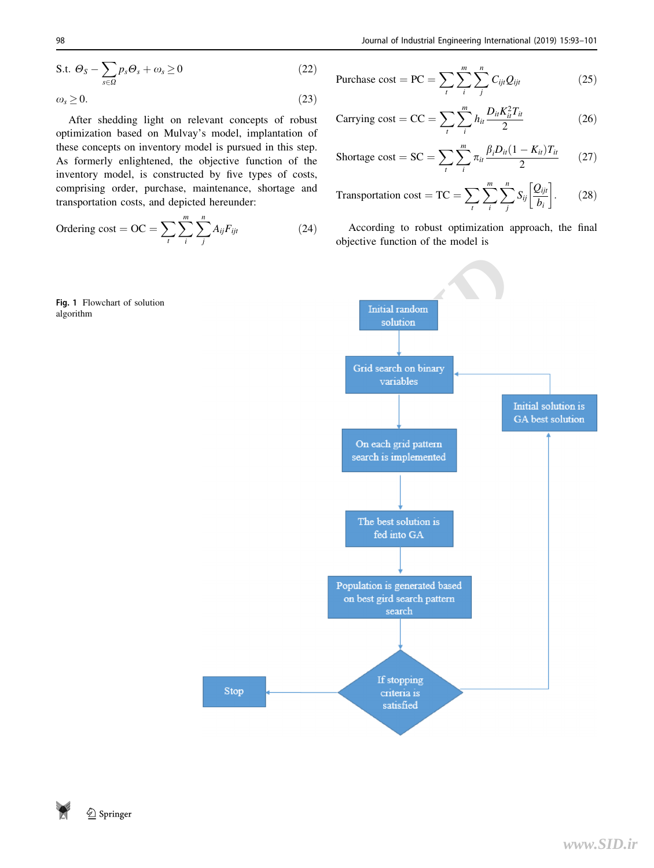$$
\text{S.t. } \Theta_S - \sum_{s \in \Omega} p_s \Theta_s + \omega_s \ge 0 \tag{22}
$$

$$
\omega_s \ge 0. \tag{23}
$$

After shedding light on relevant concepts of robust optimization based on Mulvay's model, implantation of these concepts on inventory model is pursued in this step. As formerly enlightened, the objective function of the inventory model, is constructed by five types of costs, comprising order, purchase, maintenance, shortage and transportation costs, and depicted hereunder:

Ordering cost = OC = 
$$
\sum_{t} \sum_{i}^{m} \sum_{j}^{n} A_{ij} F_{ijt}
$$
 (24)



$$
\text{Purchase cost} = \text{PC} = \sum_{t} \sum_{i}^{m} \sum_{j}^{n} C_{ijt} Q_{ijt} \tag{25}
$$

Carrying cost = CC = 
$$
\sum_{i} \sum_{i}^{m} h_{ii} \frac{D_{ii} K_{ii}^2 T_{ii}}{2}
$$
 (26)

$$
\text{Shortage cost} = \text{SC} = \sum_{t} \sum_{i}^{m} \pi_{it} \frac{\beta_{i} D_{it} (1 - K_{it}) T_{it}}{2} \tag{27}
$$

$$
\text{Transportation cost} = \text{TC} = \sum_{t} \sum_{i}^{m} \sum_{j}^{n} S_{ij} \left[ \frac{Q_{ijt}}{b_i} \right]. \tag{28}
$$

According to robust optimization approach, the final objective function of the model is



**2** Springer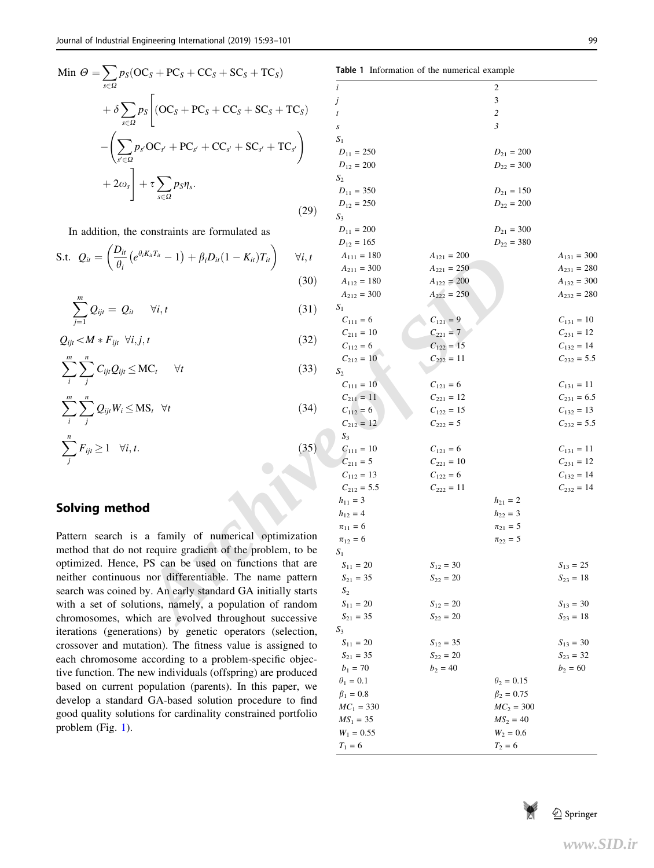Min 
$$
\Theta = \sum_{s \in \Omega} p_S (OC_s + PC_s + CC_s + SC_s + TC_s)
$$
  
\n
$$
+ \delta \sum_{s \in \Omega} p_S \left[ (OC_s + PC_s + CC_s + SC_s + TC_s) - \left( \sum_{s' \in \Omega} p_{s'} OC_{s'} + PC_{s'} + CC_{s'} + SC_{s'} + TC_{s'} \right) + 2\omega_s \right] + \tau \sum_{s \in \Omega} p_s \eta_s.
$$
\n(29)

In addition, the constraints are formulated as

S.t. 
$$
Q_{it} = \left(\frac{D_{it}}{\theta_i} \left(e^{\theta_i K_{it} T_{it}} - 1\right) + \beta_i D_{it} (1 - K_{it}) T_{it}\right) \quad \forall i, t
$$
 (30)

$$
\sum_{j=1}^{m} Q_{ijt} = Q_{it} \quad \forall i, t \tag{31}
$$

 $Q_{ijt} < M * F_{ijt} \quad \forall i, j, t$  (32)

$$
\sum_{i}^{m} \sum_{j}^{n} C_{ijt} Q_{ijt} \leq MC_t \qquad \forall t \tag{33}
$$

$$
\sum_{i}^{m} \sum_{j}^{n} Q_{ijt} W_i \le MS_t \quad \forall t \tag{34}
$$

$$
\sum_{j}^{n} F_{ijt} \ge 1 \quad \forall i, t. \tag{35}
$$

# Solving method

Pattern search is a family of numerical optimization method that do not require gradient of the problem, to be optimized. Hence, PS can be used on functions that are neither continuous nor differentiable. The name pattern search was coined by. An early standard GA initially starts with a set of solutions, namely, a population of random chromosomes, which are evolved throughout successive iterations (generations) by genetic operators (selection, crossover and mutation). The fitness value is assigned to each chromosome according to a problem-specific objective function. The new individuals (offspring) are produced based on current population (parents). In this paper, we develop a standard GA-based solution procedure to find good quality solutions for cardinality constrained portfolio problem (Fig. 1).

| $DC_S + PC_S + CC_S + SC_S + TC_S$                                                               |                |                  | Table 1 Information of the numerical example |                   |                 |
|--------------------------------------------------------------------------------------------------|----------------|------------------|----------------------------------------------|-------------------|-----------------|
|                                                                                                  |                | i                |                                              | 2                 |                 |
|                                                                                                  |                | j                |                                              | 3                 |                 |
| $p_S$ (OC <sub>S</sub> + PC <sub>S</sub> + CC <sub>S</sub> + SC <sub>S</sub> + TC <sub>S</sub> ) |                |                  |                                              | 2                 |                 |
|                                                                                                  |                | s                |                                              | 3                 |                 |
|                                                                                                  |                | $S_1$            |                                              |                   |                 |
| $P_{s'}OC_{s'} + PC_{s'} + CC_{s'} + SC_{s'} + TC_{s'}$                                          |                | $D_{11} = 250$   |                                              | $D_{21}=200\,$    |                 |
|                                                                                                  |                | $D_{12} = 200$   |                                              | $D_{22} = 300$    |                 |
|                                                                                                  |                | $S_2$            |                                              |                   |                 |
| $+ \tau \sum_{s \in \Omega} p_S \eta_s.$                                                         |                | $D_{11} = 350$   |                                              | $D_{21} = 150$    |                 |
|                                                                                                  |                | $D_{12}=250\,$   |                                              | $D_{22} = 200$    |                 |
|                                                                                                  | (29)           | $S_3$            |                                              |                   |                 |
| constraints are formulated as                                                                    |                | $D_{11} = 200$   |                                              | $D_{21}=300\,$    |                 |
|                                                                                                  |                | $D_{12}=165\,$   |                                              | $D_{22} = 380$    |                 |
| $\left(\theta_i K_{it} T_{it} - 1 \right) + \beta_i D_{it} (1-K_{it}) T_{it} \bigg)$             | $\forall i, t$ | $A_{111} = 180$  | $A_{121}=200\,$                              |                   | $A_{131} = 300$ |
|                                                                                                  |                | $A_{211} = 300$  | $A_{221} = 250$                              |                   | $A_{231} = 280$ |
|                                                                                                  | (30)           | $A_{112} = 180$  | $A_{122} = 200$                              |                   | $A_{132} = 300$ |
|                                                                                                  |                | $A_{212} = 300$  | $A_{222} = 250$                              |                   | $A_{232} = 280$ |
| $\forall i, t$                                                                                   | (31)           | $S_1$            |                                              |                   |                 |
|                                                                                                  |                | $C_{111} = 6$    | $C_{121} = 9$                                |                   | $C_{131}=10\,$  |
|                                                                                                  |                | $C_{211} = 10$   | $C_{221} = 7$                                |                   | $C_{231} = 12$  |
| j, t                                                                                             | (32)           | $C_{112}=6\,$    | $C_{122} = 15$                               |                   | $C_{132} = 14$  |
|                                                                                                  |                | $C_{212} = 10$   | $C_{222} = 11$                               |                   | $C_{232} = 5.5$ |
| $MC_t$<br>$\forall t$                                                                            | (33)           | $S_2$            |                                              |                   |                 |
|                                                                                                  |                | $C_{111} = 10$   | $C_{121} = 6$                                |                   | $C_{131} = 11$  |
|                                                                                                  |                | $C_{211} = 11$   | $C_{221} = 12$                               |                   | $C_{231} = 6.5$ |
| $\overline{MS}_t$ $\forall t$                                                                    | (34)           | $C_{112} = 6$    | $C_{122} = 15$                               |                   | $C_{132} = 13$  |
|                                                                                                  |                | $C_{212} = 12$   | $C_{222} = 5$                                |                   | $C_{232} = 5.5$ |
|                                                                                                  |                | $S_3$            |                                              |                   |                 |
|                                                                                                  | (35)           | $C_{111} = 10$   | $C_{121} = 6$                                |                   | $C_{131} = 11$  |
|                                                                                                  |                | $C_{211} = 5$    | $C_{221} = 10$                               |                   | $C_{231} = 12$  |
|                                                                                                  |                | $C_{112} = 13$   | $C_{122} = 6$                                |                   | $C_{132} = 14$  |
|                                                                                                  |                | $C_{212} = 5.5$  | $C_{222} = 11$                               |                   | $C_{232} = 14$  |
|                                                                                                  |                | $h_{11} = 3$     |                                              | $h_{21} = 2$      |                 |
| າd                                                                                               |                | $h_{12} = 4$     |                                              | $h_{22} = 3$      |                 |
|                                                                                                  |                | $\pi_{11} = 6$   |                                              | $\pi_{21} = 5$    |                 |
| a family of numerical optimization                                                               |                | $\pi_{12} = 6$   |                                              | $\pi_{22} = 5$    |                 |
| t require gradient of the problem, to be                                                         |                | $S_1$            |                                              |                   |                 |
| PS can be used on functions that are                                                             |                | $S_{11} = 20$    | $S_{12} = 30$                                |                   | $S_{13} = 25$   |
| s nor differentiable. The name pattern                                                           |                | $S_{21} = 35$    | $S_{22} = 20$                                |                   | $S_{23} = 18$   |
| by. An early standard GA initially starts                                                        |                | $S_2$            |                                              |                   |                 |
| tions, namely, a population of random                                                            |                | $S_{11}=20\,$    | $S_{12} = 20$                                |                   | $S_{13} = 30$   |
| ich are evolved throughout successive                                                            |                | $S_{21} = 35$    | $S_{22} = 20$                                |                   | $S_{23} = 18$   |
| tions) by genetic operators (selection,                                                          |                | $S_3$            |                                              |                   |                 |
| tation). The fitness value is assigned to                                                        |                | $S_{11} = 20$    | $S_{12} = 35$                                |                   | $S_{13} = 30$   |
| according to a problem-specific objec-                                                           |                | $S_{21} = 35$    | $S_{22} = 20$                                |                   | $S_{23} = 32$   |
| new individuals (offspring) are produced                                                         |                | $b_1 = 70$       | $b_2 = 40$                                   |                   | $b_2 = 60$      |
| population (parents). In this paper, we                                                          |                | $\theta_1 = 0.1$ |                                              | $\theta_2 = 0.15$ |                 |
| d GA-based solution procedure to find                                                            |                | $\beta_1 = 0.8$  |                                              | $\beta_2 = 0.75$  |                 |
| ions for cardinality constrained portfolio                                                       |                | $MC_1 = 330$     |                                              | $MC_2 = 300$      |                 |
|                                                                                                  |                | $MS_1 = 35$      |                                              | $MS_2 = 40$       |                 |
|                                                                                                  |                | $W_1 = 0.55$     |                                              | $W_2 = 0.6$       |                 |
|                                                                                                  |                | $T_1 = 6$        |                                              | $T_2 = 6$         |                 |

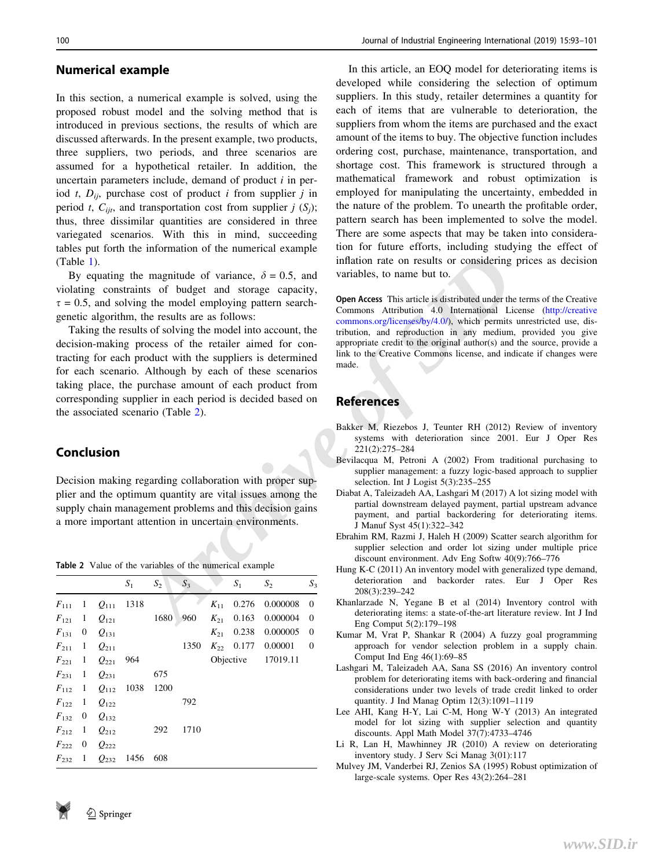#### Numerical example

In this section, a numerical example is solved, using the proposed robust model and the solving method that is introduced in previous sections, the results of which are discussed afterwards. In the present example, two products, three suppliers, two periods, and three scenarios are assumed for a hypothetical retailer. In addition, the uncertain parameters include, demand of product  $i$  in period t,  $D_{ii}$ , purchase cost of product i from supplier j in period t,  $C_{ijt}$ , and transportation cost from supplier j  $(S_i)$ ; thus, three dissimilar quantities are considered in three variegated scenarios. With this in mind, succeeding tables put forth the information of the numerical example (Table 1).

By equating the magnitude of variance,  $\delta = 0.5$ , and violating constraints of budget and storage capacity,  $\tau = 0.5$ , and solving the model employing pattern searchgenetic algorithm, the results are as follows:

**Example 1** inflation rate on results or considering price<br>
ans of budget and storage capacity,<br> **ARCHIVE CONSECT THE CONSECT AND THE SET USE ARCHIVE CONSECT CONSECT CONSECT CONSECT CONSECT CONSECT CONSECT CONSECT CONSECT** Taking the results of solving the model into account, the decision-making process of the retailer aimed for contracting for each product with the suppliers is determined for each scenario. Although by each of these scenarios taking place, the purchase amount of each product from corresponding supplier in each period is decided based on the associated scenario (Table 2).

### Conclusion

Decision making regarding collaboration with proper supplier and the optimum quantity are vital issues among the supply chain management problems and this decision gains a more important attention in uncertain environments.

Table 2 Value of the variables of the numerical example

|               |                  |                       | $S_1$ | $S_2$ | $S_3$ |          | $S_1$ | $S_2$                  | $S_3$          |
|---------------|------------------|-----------------------|-------|-------|-------|----------|-------|------------------------|----------------|
| $F_{111}$     | $\mathbf{1}$     | $Q_{111}$             | 1318  |       |       | $K_{11}$ | 0.276 | 0.000008               | $\theta$       |
| $F_{121}$     | $\mid \; 1 \mid$ | $Q_{121}$             |       | 1680  | 960   | $K_{21}$ | 0.163 | 0.000004               | $\overline{0}$ |
| $F_{131} = 0$ |                  | $Q_{131}$             |       |       |       | $K_{21}$ | 0.238 | 0.000005               | $\overline{0}$ |
| $F_{211}$ 1   |                  | $Q_{211}$             |       |       | 1350  |          |       | $K_{22}$ 0.177 0.00001 | $\mathbf{0}$   |
| $F_{221}$ 1   |                  | $Q_{221}$             | 964   |       |       |          |       | Objective 17019.11     |                |
| $F_{231}$ 1   |                  | $Q_{231}$             |       | 675   |       |          |       |                        |                |
|               |                  | $F_{112}$ 1 $Q_{112}$ | 1038  | 1200  |       |          |       |                        |                |
| $F_{122}$ 1   |                  | $Q_{122}$             |       |       | 792   |          |       |                        |                |
| $F_{132} = 0$ |                  | $Q_{132}$             |       |       |       |          |       |                        |                |
| $F_{212}$ 1   |                  | $Q_{212}$             |       | 292   | 1710  |          |       |                        |                |
| $F_{222}$ 0   |                  | $Q_{222}$             |       |       |       |          |       |                        |                |
| $F_{232}$ 1   |                  | $Q_{232}$             | 1456  | 608   |       |          |       |                        |                |

In this article, an EOQ model for deteriorating items is developed while considering the selection of optimum suppliers. In this study, retailer determines a quantity for each of items that are vulnerable to deterioration, the suppliers from whom the items are purchased and the exact amount of the items to buy. The objective function includes ordering cost, purchase, maintenance, transportation, and shortage cost. This framework is structured through a mathematical framework and robust optimization is employed for manipulating the uncertainty, embedded in the nature of the problem. To unearth the profitable order, pattern search has been implemented to solve the model. There are some aspects that may be taken into consideration for future efforts, including studying the effect of inflation rate on results or considering prices as decision variables, to name but to.

Open Access This article is distributed under the terms of the Creative Commons Attribution 4.0 International License ([http://creative](http://creativecommons.org/licenses/by/4.0/) commons.org/licenses/by/4.0/), which permits unrestricted use, distribution, and reproduction in any medium, provided you give appropriate credit to the original author(s) and the source, provide a link to the Creative Commons license, and indicate if changes were made.

### References

- Bakker M, Riezebos J, Teunter RH (2012) Review of inventory systems with deterioration since 2001. Eur J Oper Res 221(2):275–284
- Bevilacqua M, Petroni A (2002) From traditional purchasing to supplier management: a fuzzy logic-based approach to supplier selection. Int J Logist 5(3):235–255
- Diabat A, Taleizadeh AA, Lashgari M (2017) A lot sizing model with partial downstream delayed payment, partial upstream advance payment, and partial backordering for deteriorating items. J Manuf Syst 45(1):322–342
- Ebrahim RM, Razmi J, Haleh H (2009) Scatter search algorithm for supplier selection and order lot sizing under multiple price discount environment. Adv Eng Softw 40(9):766–776
- Hung K-C (2011) An inventory model with generalized type demand, deterioration and backorder rates. Eur J Oper Res 208(3):239–242
- Khanlarzade N, Yegane B et al (2014) Inventory control with deteriorating items: a state-of-the-art literature review. Int J Ind Eng Comput 5(2):179–198
- Kumar M, Vrat P, Shankar R (2004) A fuzzy goal programming approach for vendor selection problem in a supply chain. Comput Ind Eng 46(1):69–85
- Lashgari M, Taleizadeh AA, Sana SS (2016) An inventory control problem for deteriorating items with back-ordering and financial considerations under two levels of trade credit linked to order quantity. J Ind Manag Optim 12(3):1091–1119
- Lee AHI, Kang H-Y, Lai C-M, Hong W-Y (2013) An integrated model for lot sizing with supplier selection and quantity discounts. Appl Math Model 37(7):4733–4746
- Li R, Lan H, Mawhinney JR (2010) A review on deteriorating inventory study. J Serv Sci Manag 3(01):117
- Mulvey JM, Vanderbei RJ, Zenios SA (1995) Robust optimization of large-scale systems. Oper Res 43(2):264–281

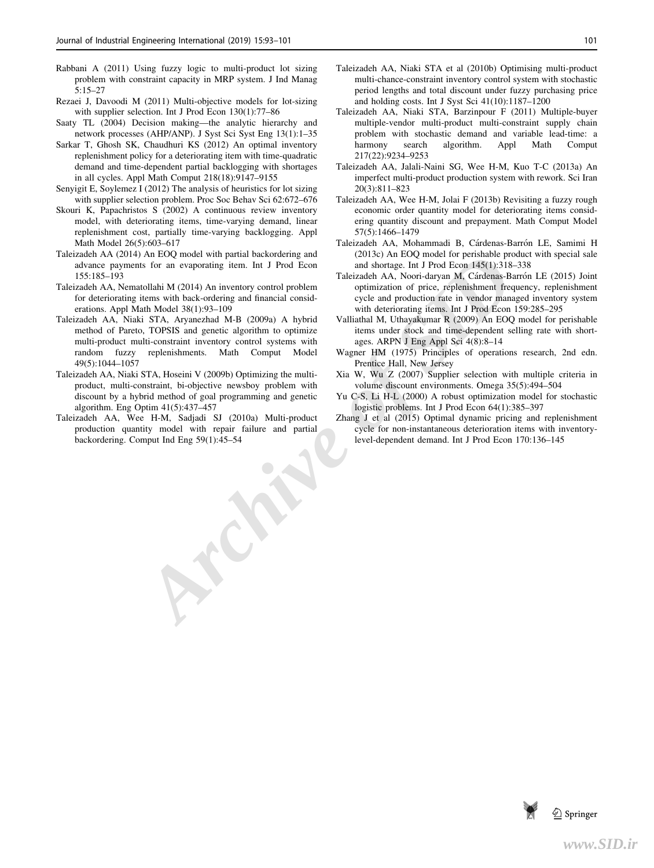- Rabbani A (2011) Using fuzzy logic to multi-product lot sizing problem with constraint capacity in MRP system. J Ind Manag 5:15–27
- Rezaei J, Davoodi M (2011) Multi-objective models for lot-sizing with supplier selection. Int J Prod Econ 130(1):77–86
- Saaty TL (2004) Decision making—the analytic hierarchy and network processes (AHP/ANP). J Syst Sci Syst Eng 13(1):1–35
- Sarkar T, Ghosh SK, Chaudhuri KS (2012) An optimal inventory replenishment policy for a deteriorating item with time-quadratic demand and time-dependent partial backlogging with shortages in all cycles. Appl Math Comput 218(18):9147–9155
- Senyigit E, Soylemez I (2012) The analysis of heuristics for lot sizing with supplier selection problem. Proc Soc Behav Sci 62:672–676
- Skouri K, Papachristos S (2002) A continuous review inventory model, with deteriorating items, time-varying demand, linear replenishment cost, partially time-varying backlogging. Appl Math Model 26(5):603–617
- Taleizadeh AA (2014) An EOQ model with partial backordering and advance payments for an evaporating item. Int J Prod Econ 155:185–193
- Taleizadeh AA, Nematollahi M (2014) An inventory control problem for deteriorating items with back-ordering and financial considerations. Appl Math Model 38(1):93–109
- Archive particular backordering and (2013) An Eucker for persished product and shortage. Int J Prod Econ and shortage. Int J Prod Econ and Shortage. IN J Prod Econ and Shortage. IN J Prod Econ and Shortage. IN A coordinary Taleizadeh AA, Niaki STA, Aryanezhad M-B (2009a) A hybrid method of Pareto, TOPSIS and genetic algorithm to optimize multi-product multi-constraint inventory control systems with random fuzzy replenishments. Math Comput Model 49(5):1044–1057
- Taleizadeh AA, Niaki STA, Hoseini V (2009b) Optimizing the multiproduct, multi-constraint, bi-objective newsboy problem with discount by a hybrid method of goal programming and genetic algorithm. Eng Optim 41(5):437–457
- Taleizadeh AA, Wee H-M, Sadjadi SJ (2010a) Multi-product production quantity model with repair failure and partial backordering. Comput Ind Eng 59(1):45–54
- Taleizadeh AA, Niaki STA et al (2010b) Optimising multi-product multi-chance-constraint inventory control system with stochastic period lengths and total discount under fuzzy purchasing price and holding costs. Int J Syst Sci 41(10):1187–1200
- Taleizadeh AA, Niaki STA, Barzinpour F (2011) Multiple-buyer multiple-vendor multi-product multi-constraint supply chain problem with stochastic demand and variable lead-time: a harmony search algorithm. Appl Math Comput 217(22):9234–9253
- Taleizadeh AA, Jalali-Naini SG, Wee H-M, Kuo T-C (2013a) An imperfect multi-product production system with rework. Sci Iran 20(3):811–823
- Taleizadeh AA, Wee H-M, Jolai F (2013b) Revisiting a fuzzy rough economic order quantity model for deteriorating items considering quantity discount and prepayment. Math Comput Model 57(5):1466–1479
- Taleizadeh AA, Mohammadi B, Cárdenas-Barrón LE, Samimi H (2013c) An EOQ model for perishable product with special sale and shortage. Int J Prod Econ 145(1):318–338
- Taleizadeh AA, Noori-daryan M, Cárdenas-Barrón LE (2015) Joint optimization of price, replenishment frequency, replenishment cycle and production rate in vendor managed inventory system with deteriorating items. Int J Prod Econ 159:285–295
- Valliathal M, Uthayakumar R (2009) An EOQ model for perishable items under stock and time-dependent selling rate with shortages. ARPN J Eng Appl Sci 4(8):8–14
- Wagner HM (1975) Principles of operations research, 2nd edn. Prentice Hall, New Jersey
- Xia W, Wu Z (2007) Supplier selection with multiple criteria in volume discount environments. Omega 35(5):494–504
- Yu C-S, Li H-L (2000) A robust optimization model for stochastic logistic problems. Int J Prod Econ 64(1):385–397
- Zhang J et al (2015) Optimal dynamic pricing and replenishment cycle for non-instantaneous deterioration items with inventorylevel-dependent demand. Int J Prod Econ 170:136–145